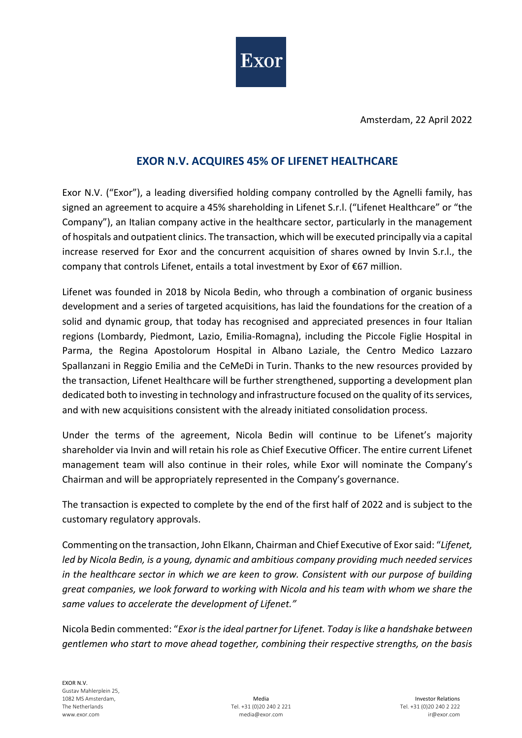

Amsterdam, 22 April 2022

## **EXOR N.V. ACQUIRES 45% OF LIFENET HEALTHCARE**

Exor N.V. ("Exor"), a leading diversified holding company controlled by the Agnelli family, has signed an agreement to acquire a 45% shareholding in Lifenet S.r.l. ("Lifenet Healthcare" or "the Company"), an Italian company active in the healthcare sector, particularly in the management of hospitals and outpatient clinics. The transaction, which will be executed principally via a capital increase reserved for Exor and the concurrent acquisition of shares owned by Invin S.r.l., the company that controls Lifenet, entails a total investment by Exor of €67 million.

Lifenet was founded in 2018 by Nicola Bedin, who through a combination of organic business development and a series of targeted acquisitions, has laid the foundations for the creation of a solid and dynamic group, that today has recognised and appreciated presences in four Italian regions (Lombardy, Piedmont, Lazio, Emilia-Romagna), including the Piccole Figlie Hospital in Parma, the Regina Apostolorum Hospital in Albano Laziale, the Centro Medico Lazzaro Spallanzani in Reggio Emilia and the CeMeDi in Turin. Thanks to the new resources provided by the transaction, Lifenet Healthcare will be further strengthened, supporting a development plan dedicated both to investing in technology and infrastructure focused on the quality of its services, and with new acquisitions consistent with the already initiated consolidation process.

Under the terms of the agreement, Nicola Bedin will continue to be Lifenet's majority shareholder via Invin and will retain his role as Chief Executive Officer. The entire current Lifenet management team will also continue in their roles, while Exor will nominate the Company's Chairman and will be appropriately represented in the Company's governance.

The transaction is expected to complete by the end of the first half of 2022 and is subject to the customary regulatory approvals.

Commenting on the transaction, John Elkann, Chairman and Chief Executive of Exor said: "*Lifenet, led by Nicola Bedin, is a young, dynamic and ambitious company providing much needed services in the healthcare sector in which we are keen to grow. Consistent with our purpose of building great companies, we look forward to working with Nicola and his team with whom we share the same values to accelerate the development of Lifenet."*

Nicola Bedin commented: "*Exor is the ideal partner for Lifenet. Today is like a handshake between gentlemen who start to move ahead together, combining their respective strengths, on the basis*